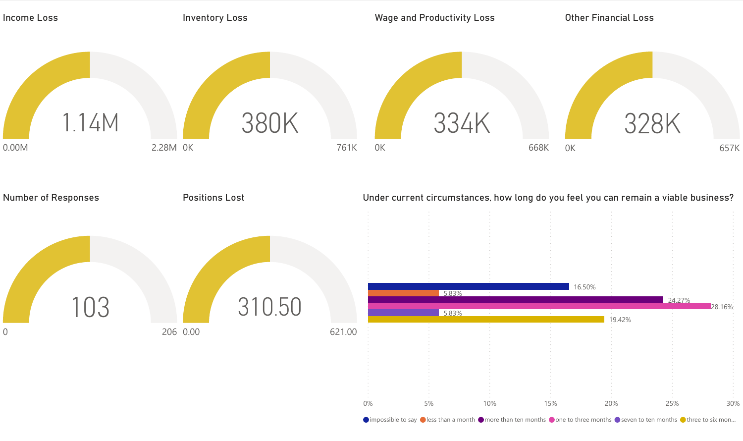